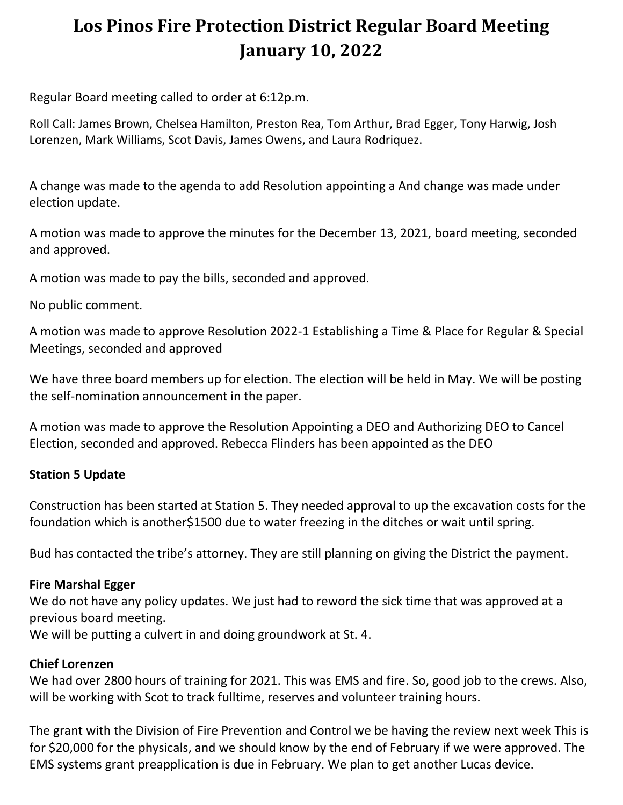# **Los Pinos Fire Protection District Regular Board Meeting January 10, 2022**

Regular Board meeting called to order at 6:12p.m.

Roll Call: James Brown, Chelsea Hamilton, Preston Rea, Tom Arthur, Brad Egger, Tony Harwig, Josh Lorenzen, Mark Williams, Scot Davis, James Owens, and Laura Rodriquez.

A change was made to the agenda to add Resolution appointing a And change was made under election update.

A motion was made to approve the minutes for the December 13, 2021, board meeting, seconded and approved.

A motion was made to pay the bills, seconded and approved.

No public comment.

A motion was made to approve Resolution 2022-1 Establishing a Time & Place for Regular & Special Meetings, seconded and approved

We have three board members up for election. The election will be held in May. We will be posting the self-nomination announcement in the paper.

A motion was made to approve the Resolution Appointing a DEO and Authorizing DEO to Cancel Election, seconded and approved. Rebecca Flinders has been appointed as the DEO

## **Station 5 Update**

Construction has been started at Station 5. They needed approval to up the excavation costs for the foundation which is another\$1500 due to water freezing in the ditches or wait until spring.

Bud has contacted the tribe's attorney. They are still planning on giving the District the payment.

## **Fire Marshal Egger**

We do not have any policy updates. We just had to reword the sick time that was approved at a previous board meeting. We will be putting a culvert in and doing groundwork at St. 4.

**Chief Lorenzen**

We had over 2800 hours of training for 2021. This was EMS and fire. So, good job to the crews. Also, will be working with Scot to track fulltime, reserves and volunteer training hours.

The grant with the Division of Fire Prevention and Control we be having the review next week This is for \$20,000 for the physicals, and we should know by the end of February if we were approved. The EMS systems grant preapplication is due in February. We plan to get another Lucas device.